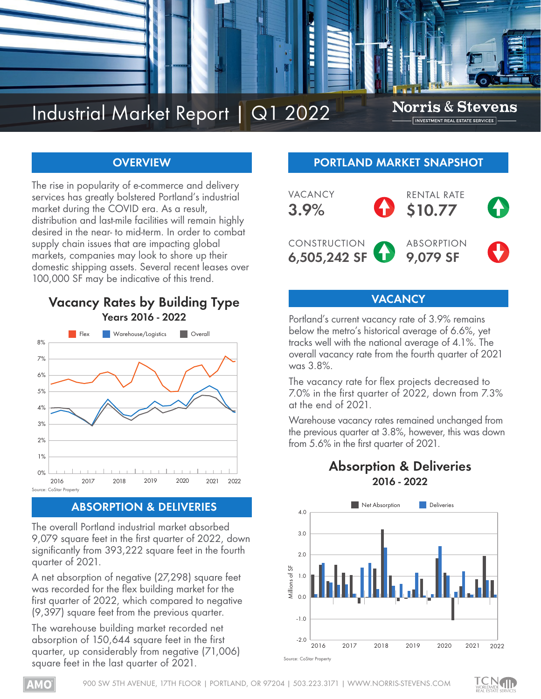

# **OVERVIEW**

The rise in popularity of e-commerce and delivery services has greatly bolstered Portland's industrial market during the COVID era. As a result, distribution and last-mile facilities will remain highly desired in the near- to mid-term. In order to combat supply chain issues that are impacting global markets, companies may look to shore up their domestic shipping assets. Several recent leases over 100,000 SF may be indicative of this trend.

# **Vacancy Rates by Building Type Years 2016 - 2022**



# **ABSORPTION & DELIVERIES**

The overall Portland industrial market absorbed 9,079 square feet in the first quarter of 2022, down significantly from 393,222 square feet in the fourth quarter of 2021.

A net absorption of negative (27,298) square feet was recorded for the flex building market for the first quarter of 2022, which compared to negative (9,397) square feet from the previous quarter.

The warehouse building market recorded net absorption of 150,644 square feet in the first quarter, up considerably from negative (71,006) square feet in the last quarter of 2021.

## **PORTLAND MARKET SNAPSHOT**



# **VACANCY**

Portland's current vacancy rate of 3.9% remains below the metro's historical average of 6.6%, yet tracks well with the national average of 4.1%. The overall vacancy rate from the fourth quarter of 2021 was 3.8%.

The vacancy rate for flex projects decreased to 7.0% in the first quarter of 2022, down from 7.3% at the end of 2021.

Warehouse vacancy rates remained unchanged from the previous quarter at 3.8%, however, this was down from 5.6% in the first quarter of 2021.

# **Absorption & Deliveries 2016 - 2022**